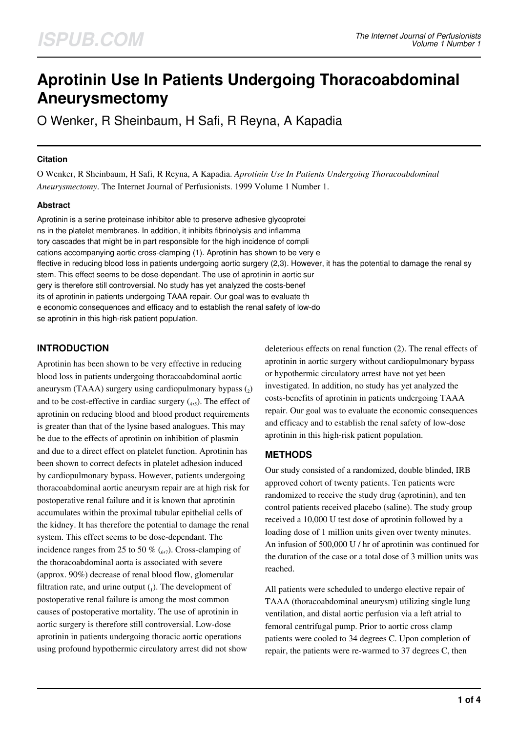# **Aprotinin Use In Patients Undergoing Thoracoabdominal Aneurysmectomy**

O Wenker, R Sheinbaum, H Safi, R Reyna, A Kapadia

#### **Citation**

O Wenker, R Sheinbaum, H Safi, R Reyna, A Kapadia. *Aprotinin Use In Patients Undergoing Thoracoabdominal Aneurysmectomy*. The Internet Journal of Perfusionists. 1999 Volume 1 Number 1.

#### **Abstract**

Aprotinin is a serine proteinase inhibitor able to preserve adhesive glycoprotei ns in the platelet membranes. In addition, it inhibits fibrinolysis and inflamma tory cascades that might be in part responsible for the high incidence of compli cations accompanying aortic cross-clamping (1). Aprotinin has shown to be very e ffective in reducing blood loss in patients undergoing aortic surgery (2,3). However, it has the potential to damage the renal sy stem. This effect seems to be dose-dependant. The use of aprotinin in aortic sur gery is therefore still controversial. No study has yet analyzed the costs-benef its of aprotinin in patients undergoing TAAA repair. Our goal was to evaluate th e economic consequences and efficacy and to establish the renal safety of low-do se aprotinin in this high-risk patient population.

# **INTRODUCTION**

Aprotinin has been shown to be very effective in reducing blood loss in patients undergoing thoracoabdominal aortic aneurysm (TAAA) surgery using cardiopulmonary bypass  $(_{2})$ and to be cost-effective in cardiac surgery  $({}_{4}, {}_{5})$ . The effect of aprotinin on reducing blood and blood product requirements is greater than that of the lysine based analogues. This may be due to the effects of aprotinin on inhibition of plasmin and due to a direct effect on platelet function. Aprotinin has been shown to correct defects in platelet adhesion induced by cardiopulmonary bypass. However, patients undergoing thoracoabdominal aortic aneurysm repair are at high risk for postoperative renal failure and it is known that aprotinin accumulates within the proximal tubular epithelial cells of the kidney. It has therefore the potential to damage the renal system. This effect seems to be dose-dependant. The incidence ranges from 25 to 50 %  $\binom{6}{6}$ . Cross-clamping of the thoracoabdominal aorta is associated with severe (approx. 90%) decrease of renal blood flow, glomerular filtration rate, and urine output  $(_1)$ . The development of postoperative renal failure is among the most common causes of postoperative mortality. The use of aprotinin in aortic surgery is therefore still controversial. Low-dose aprotinin in patients undergoing thoracic aortic operations using profound hypothermic circulatory arrest did not show

deleterious effects on renal function (2). The renal effects of aprotinin in aortic surgery without cardiopulmonary bypass or hypothermic circulatory arrest have not yet been investigated. In addition, no study has yet analyzed the costs-benefits of aprotinin in patients undergoing TAAA repair. Our goal was to evaluate the economic consequences and efficacy and to establish the renal safety of low-dose aprotinin in this high-risk patient population.

## **METHODS**

Our study consisted of a randomized, double blinded, IRB approved cohort of twenty patients. Ten patients were randomized to receive the study drug (aprotinin), and ten control patients received placebo (saline). The study group received a 10,000 U test dose of aprotinin followed by a loading dose of 1 million units given over twenty minutes. An infusion of 500,000 U / hr of aprotinin was continued for the duration of the case or a total dose of 3 million units was reached.

All patients were scheduled to undergo elective repair of TAAA (thoracoabdominal aneurysm) utilizing single lung ventilation, and distal aortic perfusion via a left atrial to femoral centrifugal pump. Prior to aortic cross clamp patients were cooled to 34 degrees C. Upon completion of repair, the patients were re-warmed to 37 degrees C, then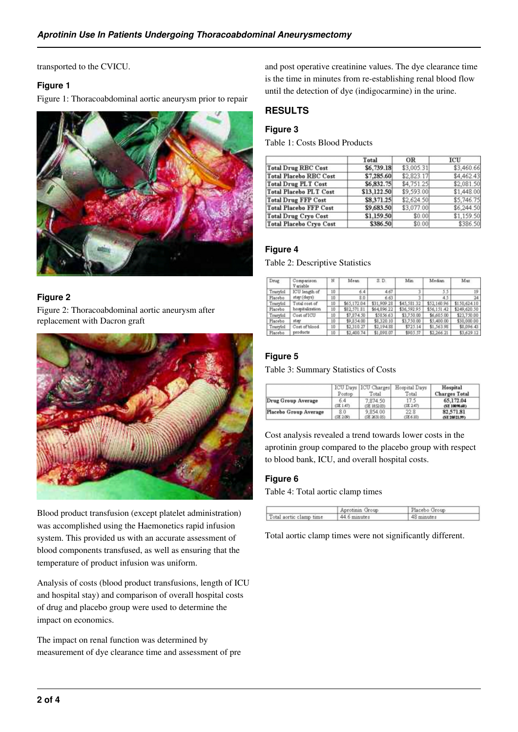transported to the CVICU.

#### **Figure 1**

Figure 1: Thoracoabdominal aortic aneurysm prior to repair



### **Figure 2**

Figure 2: Thoracoabdominal aortic aneurysm after replacement with Dacron graft



Blood product transfusion (except platelet administration) was accomplished using the Haemonetics rapid infusion system. This provided us with an accurate assessment of blood components transfused, as well as ensuring that the temperature of product infusion was uniform.

Analysis of costs (blood product transfusions, length of ICU and hospital stay) and comparison of overall hospital costs of drug and placebo group were used to determine the impact on economics.

The impact on renal function was determined by measurement of dye clearance time and assessment of pre and post operative creatinine values. The dye clearance time is the time in minutes from re-establishing renal blood flow until the detection of dye (indigocarmine) in the urine.

## **RESULTS**

## **Figure 3**

Table 1: Costs Blood Products

|                                | Total       | OR         | ICU        |
|--------------------------------|-------------|------------|------------|
| <b>Total Drug RBC Cost</b>     | \$6,739.18  | \$3,005.31 | \$3,460.66 |
| <b>Total Placebo RBC Cost</b>  | \$7,285.60  | \$2,823.17 | \$4,462.43 |
| <b>Total Drug PLT Cost</b>     | \$6,832.75  | \$4,751.25 | \$2,081.50 |
| <b>Total Placebo PLT Cost</b>  | \$13,122.50 | \$9,593.00 | \$1,448.00 |
| <b>Total Drug FFP Cost</b>     | \$8,371.25  | \$2,624.50 | \$5,746.75 |
| <b>Total Placebo FFP Cost</b>  | \$9,683.50  | \$3,077.00 | \$6,244.50 |
| <b>Total Drug Cryo Cost</b>    | \$1,159.50  | \$0.00     | \$1,159.50 |
| <b>Total Placebo Cryo Cost</b> | \$386.50    | \$0.00     | \$386.50   |

### **Figure 4**

#### Table 2: Descriptive Statistics

| Drug     | Comparison<br>V ariable | N  | Mean        | S. D.       | Min         | Median      | Max          |
|----------|-------------------------|----|-------------|-------------|-------------|-------------|--------------|
| Trasylol | ICU length of           | 10 | 6.4         | 4.67        |             | 5.5         | 19           |
| Placebo  | stay (days)             | 10 | 8.0         | 6.63        |             | 4.5         | 24           |
| Trasylol | Total cost of           | 10 | \$65,172.04 | \$31,909.28 | \$45,581.32 | \$52,160.96 | \$150,624.10 |
| Placebo  | hospitalization         | 10 | \$82,571.81 | \$64,896.22 | \$36,592.95 | \$56,151.42 | \$249,620.50 |
| Trasylol | Cost of ICU             | 10 | \$7,874.50  | \$5856.63   | \$3,750.00  | \$6,605.00  | \$23,750.00  |
| Placebo  | stay                    | 10 | \$9,854.00  | \$8,320.10  | \$3,750.00  | \$5,400.00  | \$30,000.00  |
| Trasyiol | Cost of blood           | 10 | \$2,310.27  | \$2,194.88  | \$725.14    | \$1,563.98  | \$8,096.43   |
| Placebo  | products                | 10 | \$2,400.74  | \$1,098.07  | \$905.57    | \$2,266.21  | \$3,629.12   |

### **Figure 5**

Table 3: Summary Statistics of Costs

|                       | Postop    | ICU Days ICU Charges<br>Total | Hospital Days<br>Total | Hospital<br><b>Charges Total</b> |
|-----------------------|-----------|-------------------------------|------------------------|----------------------------------|
| Drug Group Average    | 6.4       | 7,874.50                      | 17.5                   | 65.172.04                        |
|                       | (SE1.47)  | (SE185203)                    | (SE 2.47)              | (SE 10090.60)                    |
| Placebo Group Average | 8.0       | 9,854.00                      | 22.8                   | 82.571.81                        |
|                       | (SE 2.09) | (SE 2631.05)                  | (SE 6.10)              | (SE 20521.99)                    |

Cost analysis revealed a trend towards lower costs in the aprotinin group compared to the placebo group with respect to blood bank, ICU, and overall hospital costs.

### **Figure 6**

Table 4: Total aortic clamp times

|                         | Aprotinin Group | Placebo Group |  |
|-------------------------|-----------------|---------------|--|
| Total aortic clamp time | 44.6 minutes    | 48 minutes    |  |

Total aortic clamp times were not significantly different.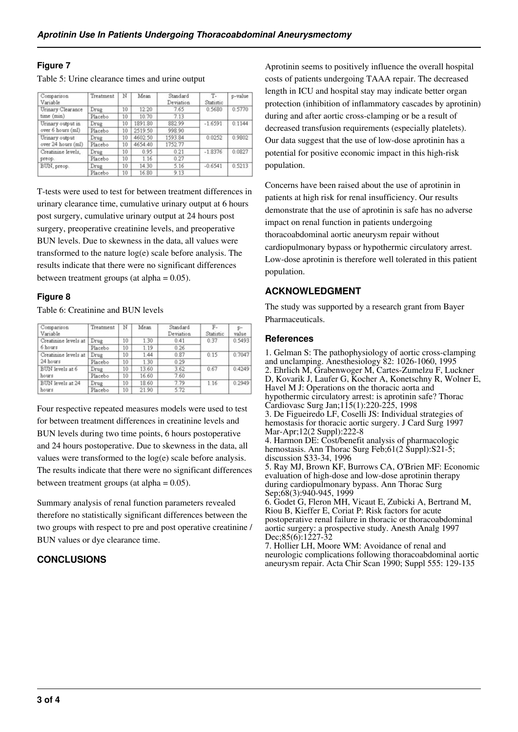#### **Figure 7**

Table 5: Urine clearance times and urine output

| Comparison<br>Variable                 | Treatment | N  | Mean    | Standard<br>Deviation | T-<br>Statistic | p-value |
|----------------------------------------|-----------|----|---------|-----------------------|-----------------|---------|
| Urinary Clearance                      | Drug      | 10 | 12.20   | 7.65                  | 0.5680          | 0.5770  |
| time (min)                             | Placebo   | 10 | 10.70   | 7.13                  |                 |         |
| Urinary output in<br>over 6 hours (ml) | Drug      | 10 | 1891.80 | 882.99                | $-1.6591$       | 0.1144  |
|                                        | Placebo   | 10 | 2519.50 | 998.90                |                 |         |
| Urinary output<br>over 24 hours (ml)   | Drug      | 10 | 4602.50 | 1593.84               | 0.0252          | 0.9802  |
|                                        | Placebo   | 10 | 4654.40 | 1752.77               |                 |         |
| Creatinine levels.<br>preop.           | Drug      | 10 | 0.95    | 0.21                  | $-1.8376$       | 0.0827  |
|                                        | Placebo   | 10 | 1.16    | 0.27                  |                 |         |
| BUN, preop.                            | Drug      | 10 | 14.30   | 5.16                  | $-0.6541$       | 0.5213  |
|                                        | Placebo   | 10 | 16.80   | 9.13                  |                 |         |
|                                        |           |    |         |                       |                 |         |

T-tests were used to test for between treatment differences in urinary clearance time, cumulative urinary output at 6 hours post surgery, cumulative urinary output at 24 hours post surgery, preoperative creatinine levels, and preoperative BUN levels. Due to skewness in the data, all values were transformed to the nature log(e) scale before analysis. The results indicate that there were no significant differences between treatment groups (at alpha  $= 0.05$ ).

#### **Figure 8**

Table 6: Creatinine and BUN levels

| Comparison<br>Variable | Treatment | N  | Mean  | Standard<br>Deviation | $F -$<br>Statistic | value  |
|------------------------|-----------|----|-------|-----------------------|--------------------|--------|
| Creatinine levels at   | Drug      | 10 | 1.30  | 0.41                  | 0.37               | 0.5493 |
| 6 hours                | Placebo   | 10 | 1.19  | 0.26                  |                    |        |
| Creatinine levels at   | Drug      | 10 | 1.44  | 0.87                  | 0.15               | 0.7047 |
| 24 hours               | Placebo   | 10 | 1.30  | 0.29                  |                    |        |
| BUN levels at 6        | Drug      | 10 | 13.60 | 3.62                  | 0.67               | 0.4249 |
| hours                  | Placebo   | 10 | 16.60 | 7.60                  |                    |        |
| BUN levels at 24       | Drug      | 10 | 18.60 | 7.79                  | 1.16               | 0.2949 |
| hours                  | Placebo   | 10 | 21.90 | 5.72                  |                    |        |

Four respective repeated measures models were used to test for between treatment differences in creatinine levels and BUN levels during two time points, 6 hours postoperative and 24 hours postoperative. Due to skewness in the data, all values were transformed to the log(e) scale before analysis. The results indicate that there were no significant differences between treatment groups (at alpha  $= 0.05$ ).

Summary analysis of renal function parameters revealed therefore no statistically significant differences between the two groups with respect to pre and post operative creatinine / BUN values or dye clearance time.

### **CONCLUSIONS**

Aprotinin seems to positively influence the overall hospital costs of patients undergoing TAAA repair. The decreased length in ICU and hospital stay may indicate better organ protection (inhibition of inflammatory cascades by aprotinin) during and after aortic cross-clamping or be a result of decreased transfusion requirements (especially platelets). Our data suggest that the use of low-dose aprotinin has a potential for positive economic impact in this high-risk population.

Concerns have been raised about the use of aprotinin in patients at high risk for renal insufficiency. Our results demonstrate that the use of aprotinin is safe has no adverse impact on renal function in patients undergoing thoracoabdominal aortic aneurysm repair without cardiopulmonary bypass or hypothermic circulatory arrest. Low-dose aprotinin is therefore well tolerated in this patient population.

### **ACKNOWLEDGMENT**

The study was supported by a research grant from Bayer Pharmaceuticals.

#### **References**

1. Gelman S: The pathophysiology of aortic cross-clamping and unclamping. Anesthesiology 82: 1026-1060, 1995 2. Ehrlich M, Grabenwoger M, Cartes-Zumelzu F, Luckner D, Kovarik J, Laufer G, Kocher A, Konetschny R, Wolner E, Havel M J: Operations on the thoracic aorta and hypothermic circulatory arrest: is aprotinin safe? Thorac Cardiovasc Surg Jan;115(1):220-225, 1998 3. De Figueiredo LF, Coselli JS: Individual strategies of hemostasis for thoracic aortic surgery. J Card Surg 1997 Mar-Apr;12(2 Suppl):222-8 4. Harmon DE: Cost/benefit analysis of pharmacologic hemostasis. Ann Thorac Surg Feb;61(2 Suppl):S21-5; discussion S33-34, 1996 5. Ray MJ, Brown KF, Burrows CA, O'Brien MF: Economic evaluation of high-dose and low-dose aprotinin therapy during cardiopulmonary bypass. Ann Thorac Surg Sep;68(3):940-945, 1999 6. Godet G, Fleron MH, Vicaut E, Zubicki A, Bertrand M, Riou B, Kieffer E, Coriat P: Risk factors for acute postoperative renal failure in thoracic or thoracoabdominal

aortic surgery: a prospective study. Anesth Analg 1997 Dec;85(6):1227-32

7. Hollier LH, Moore WM: Avoidance of renal and neurologic complications following thoracoabdominal aortic aneurysm repair. Acta Chir Scan 1990; Suppl 555: 129-135